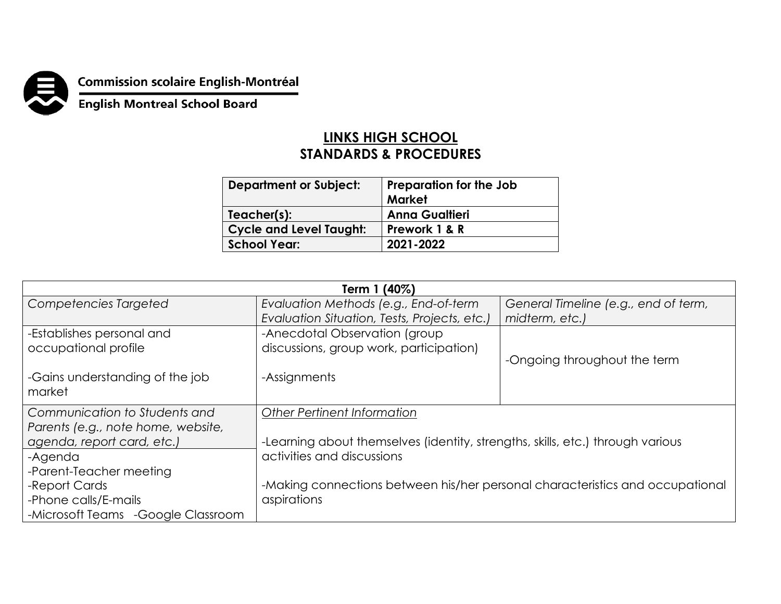

**Commission scolaire English-Montréal<br>English Montreal School Board** 

## **LINKS HIGH SCHOOL STANDARDS & PROCEDURES**

| <b>Department or Subject:</b>  | Preparation for the Job<br>Market |
|--------------------------------|-----------------------------------|
| Teacher(s):                    | <b>Anna Gualtieri</b>             |
| <b>Cycle and Level Taught:</b> | Prework 1 & R                     |
| <b>School Year:</b>            | 2021-2022                         |

| Term 1 (40%)                        |                                                                                |                                      |  |
|-------------------------------------|--------------------------------------------------------------------------------|--------------------------------------|--|
| Competencies Targeted               | Evaluation Methods (e.g., End-of-term                                          | General Timeline (e.g., end of term, |  |
|                                     | Evaluation Situation, Tests, Projects, etc.)                                   | midterm, etc.)                       |  |
| -Establishes personal and           | -Anecdotal Observation (group                                                  |                                      |  |
| occupational profile                | discussions, group work, participation)                                        |                                      |  |
|                                     |                                                                                | -Ongoing throughout the term         |  |
| -Gains understanding of the job     | -Assignments                                                                   |                                      |  |
| market                              |                                                                                |                                      |  |
| Communication to Students and       | <b>Other Pertinent Information</b>                                             |                                      |  |
| Parents (e.g., note home, website,  |                                                                                |                                      |  |
| agenda, report card, etc.)          | -Learning about themselves (identity, strengths, skills, etc.) through various |                                      |  |
| -Agenda                             | activities and discussions                                                     |                                      |  |
| -Parent-Teacher meeting             |                                                                                |                                      |  |
| -Report Cards                       | -Making connections between his/her personal characteristics and occupational  |                                      |  |
| -Phone calls/E-mails                | aspirations                                                                    |                                      |  |
| -Microsoft Teams - Google Classroom |                                                                                |                                      |  |